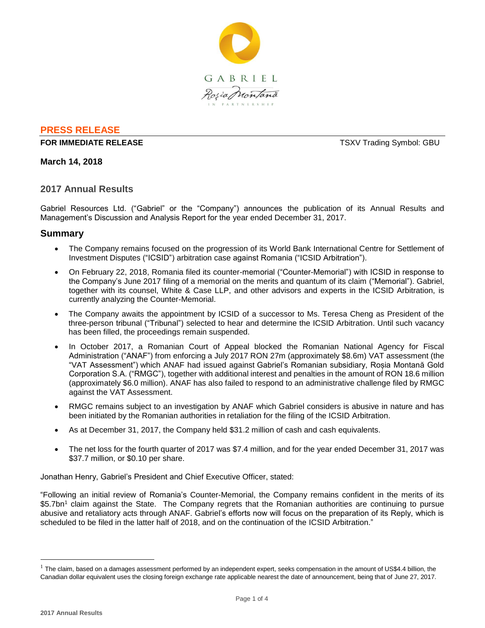

# **PRESS RELEASE**

### **FOR IMMEDIATE RELEASE TSXV Trading Symbol: GBU**

# **March 14, 2018**

# **2017 Annual Results**

Gabriel Resources Ltd. ("Gabriel" or the "Company") announces the publication of its Annual Results and Management's Discussion and Analysis Report for the year ended December 31, 2017.

# **Summary**

- The Company remains focused on the progression of its World Bank International Centre for Settlement of Investment Disputes ("ICSID") arbitration case against Romania ("ICSID Arbitration").
- On February 22, 2018, Romania filed its counter-memorial ("Counter-Memorial") with ICSID in response to the Company's June 2017 filing of a memorial on the merits and quantum of its claim ("Memorial"). Gabriel, together with its counsel, White & Case LLP, and other advisors and experts in the ICSID Arbitration, is currently analyzing the Counter-Memorial.
- The Company awaits the appointment by ICSID of a successor to Ms. Teresa Cheng as President of the three-person tribunal ("Tribunal") selected to hear and determine the ICSID Arbitration. Until such vacancy has been filled, the proceedings remain suspended.
- In October 2017, a Romanian Court of Appeal blocked the Romanian National Agency for Fiscal Administration ("ANAF") from enforcing a July 2017 RON 27m (approximately \$8.6m) VAT assessment (the "VAT Assessment") which ANAF had issued against Gabriel's Romanian subsidiary, Roșia Montană Gold Corporation S.A. ("RMGC"), together with additional interest and penalties in the amount of RON 18.6 million (approximately \$6.0 million). ANAF has also failed to respond to an administrative challenge filed by RMGC against the VAT Assessment.
- RMGC remains subject to an investigation by ANAF which Gabriel considers is abusive in nature and has been initiated by the Romanian authorities in retaliation for the filing of the ICSID Arbitration.
- As at December 31, 2017, the Company held \$31.2 million of cash and cash equivalents.
- The net loss for the fourth quarter of 2017 was \$7.4 million, and for the year ended December 31, 2017 was \$37.7 million, or \$0.10 per share.

Jonathan Henry, Gabriel's President and Chief Executive Officer, stated:

"Following an initial review of Romania's Counter-Memorial, the Company remains confident in the merits of its \$5.7bn<sup>1</sup> claim against the State. The Company regrets that the Romanian authorities are continuing to pursue abusive and retaliatory acts through ANAF. Gabriel's efforts now will focus on the preparation of its Reply, which is scheduled to be filed in the latter half of 2018, and on the continuation of the ICSID Arbitration."

 $\overline{a}$ 

 $1$  The claim, based on a damages assessment performed by an independent expert, seeks compensation in the amount of US\$4.4 billion, the Canadian dollar equivalent uses the closing foreign exchange rate applicable nearest the date of announcement, being that of June 27, 2017.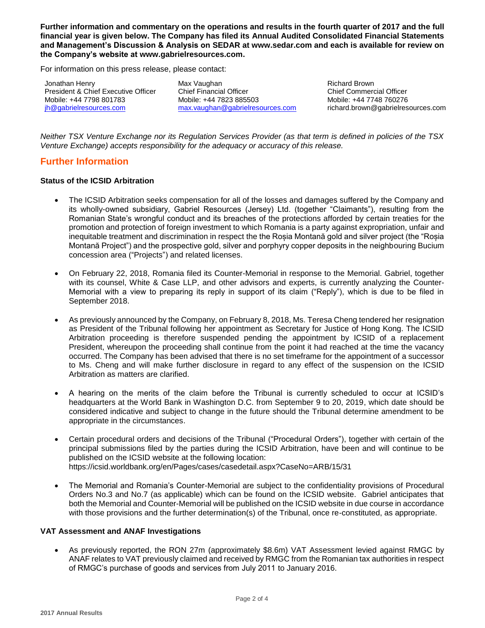**Further information and commentary on the operations and results in the fourth quarter of 2017 and the full financial year is given below. The Company has filed its Annual Audited Consolidated Financial Statements and Management's Discussion & Analysis on SEDAR at www.sedar.com and each is available for review on the Company's website at www.gabrielresources.com.** 

For information on this press release, please contact:

Jonathan Henry President & Chief Executive Officer Mobile: +44 7798 801783 [jh@gabrielresources.com](mailto:jh@gabrielresources.com)

Max Vaughan Chief Financial Officer Mobile: +44 7823 885503 [max.vaughan@gabrielresources.com](mailto:max.vaughan@gabrielresources.com)

Richard Brown Chief Commercial Officer Mobile: +44 7748 760276 richard.brown@gabrielresources.com

*Neither TSX Venture Exchange nor its Regulation Services Provider (as that term is defined in policies of the TSX Venture Exchange) accepts responsibility for the adequacy or accuracy of this release.*

# **Further Information**

## **Status of the ICSID Arbitration**

- The ICSID Arbitration seeks compensation for all of the losses and damages suffered by the Company and its wholly-owned subsidiary, Gabriel Resources (Jersey) Ltd. (together "Claimants"), resulting from the Romanian State's wrongful conduct and its breaches of the protections afforded by certain treaties for the promotion and protection of foreign investment to which Romania is a party against expropriation, unfair and inequitable treatment and discrimination in respect the the Roșia Montană gold and silver project (the "Roșia Montană Project") and the prospective gold, silver and porphyry copper deposits in the neighbouring Bucium concession area ("Projects") and related licenses.
- On February 22, 2018, Romania filed its Counter-Memorial in response to the Memorial. Gabriel, together with its counsel, White & Case LLP, and other advisors and experts, is currently analyzing the Counter-Memorial with a view to preparing its reply in support of its claim ("Reply"), which is due to be filed in September 2018.
- As previously announced by the Company, on February 8, 2018, Ms. Teresa Cheng tendered her resignation as President of the Tribunal following her appointment as Secretary for Justice of Hong Kong. The ICSID Arbitration proceeding is therefore suspended pending the appointment by ICSID of a replacement President, whereupon the proceeding shall continue from the point it had reached at the time the vacancy occurred. The Company has been advised that there is no set timeframe for the appointment of a successor to Ms. Cheng and will make further disclosure in regard to any effect of the suspension on the ICSID Arbitration as matters are clarified.
- A hearing on the merits of the claim before the Tribunal is currently scheduled to occur at ICSID's headquarters at the World Bank in Washington D.C. from September 9 to 20, 2019, which date should be considered indicative and subject to change in the future should the Tribunal determine amendment to be appropriate in the circumstances.
- Certain procedural orders and decisions of the Tribunal ("Procedural Orders"), together with certain of the principal submissions filed by the parties during the ICSID Arbitration, have been and will continue to be published on the ICSID website at the following location: https://icsid.worldbank.org/en/Pages/cases/casedetail.aspx?CaseNo=ARB/15/31
- The Memorial and Romania's Counter-Memorial are subject to the confidentiality provisions of Procedural Orders No.3 and No.7 (as applicable) which can be found on the ICSID website. Gabriel anticipates that both the Memorial and Counter-Memorial will be published on the ICSID website in due course in accordance with those provisions and the further determination(s) of the Tribunal, once re-constituted, as appropriate.

### **VAT Assessment and ANAF Investigations**

 As previously reported, the RON 27m (approximately \$8.6m) VAT Assessment levied against RMGC by ANAF relates to VAT previously claimed and received by RMGC from the Romanian tax authorities in respect of RMGC's purchase of goods and services from July 2011 to January 2016.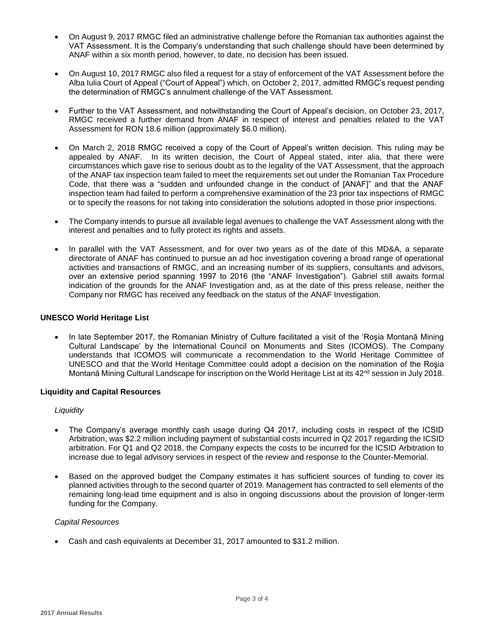- On August 9, 2017 RMGC filed an administrative challenge before the Romanian tax authorities against the VAT Assessment. It is the Company's understanding that such challenge should have been determined by ANAF within a six month period, however, to date, no decision has been issued.
- On August 10, 2017 RMGC also filed a request for a stay of enforcement of the VAT Assessment before the Alba Iulia Court of Appeal ("Court of Appeal") which, on October 2, 2017, admitted RMGC's request pending the determination of RMGC's annulment challenge of the VAT Assessment.
- Further to the VAT Assessment, and notwithstanding the Court of Appeal's decision, on October 23, 2017, RMGC received a further demand from ANAF in respect of interest and penalties related to the VAT Assessment for RON 18.6 million (approximately \$6.0 million).
- On March 2, 2018 RMGC received a copy of the Court of Appeal's written decision. This ruling may be appealed by ANAF. In its written decision, the Court of Appeal stated, inter alia, that there were circumstances which gave rise to serious doubt as to the legality of the VAT Assessment, that the approach of the ANAF tax inspection team failed to meet the requirements set out under the Romanian Tax Procedure Code, that there was a "sudden and unfounded change in the conduct of [ANAF]" and that the ANAF inspection team had failed to perform a comprehensive examination of the 23 prior tax inspections of RMGC or to specify the reasons for not taking into consideration the solutions adopted in those prior inspections.
- The Company intends to pursue all available legal avenues to challenge the VAT Assessment along with the interest and penalties and to fully protect its rights and assets.
- In parallel with the VAT Assessment, and for over two years as of the date of this MD&A, a separate directorate of ANAF has continued to pursue an ad hoc investigation covering a broad range of operational activities and transactions of RMGC, and an increasing number of its suppliers, consultants and advisors, over an extensive period spanning 1997 to 2016 (the "ANAF Investigation"). Gabriel still awaits formal indication of the grounds for the ANAF Investigation and, as at the date of this press release, neither the Company nor RMGC has received any feedback on the status of the ANAF Investigation.

### **UNESCO World Heritage List**

 In late September 2017, the Romanian Ministry of Culture facilitated a visit of the 'Roşia Montană Mining Cultural Landscape' by the International Council on Monuments and Sites (ICOMOS). The Company understands that ICOMOS will communicate a recommendation to the World Heritage Committee of UNESCO and that the World Heritage Committee could adopt a decision on the nomination of the Roşia Montană Mining Cultural Landscape for inscription on the World Heritage List at its 42<sup>nd</sup> session in July 2018.

### **Liquidity and Capital Resources**

### *Liquidity*

- The Company's average monthly cash usage during Q4 2017, including costs in respect of the ICSID Arbitration, was \$2.2 million including payment of substantial costs incurred in Q2 2017 regarding the ICSID arbitration. For Q1 and Q2 2018, the Company expects the costs to be incurred for the ICSID Arbitration to increase due to legal advisory services in respect of the review and response to the Counter-Memorial.
- Based on the approved budget the Company estimates it has sufficient sources of funding to cover its planned activities through to the second quarter of 2019. Management has contracted to sell elements of the remaining long-lead time equipment and is also in ongoing discussions about the provision of longer-term funding for the Company.

### *Capital Resources*

Cash and cash equivalents at December 31, 2017 amounted to \$31.2 million.